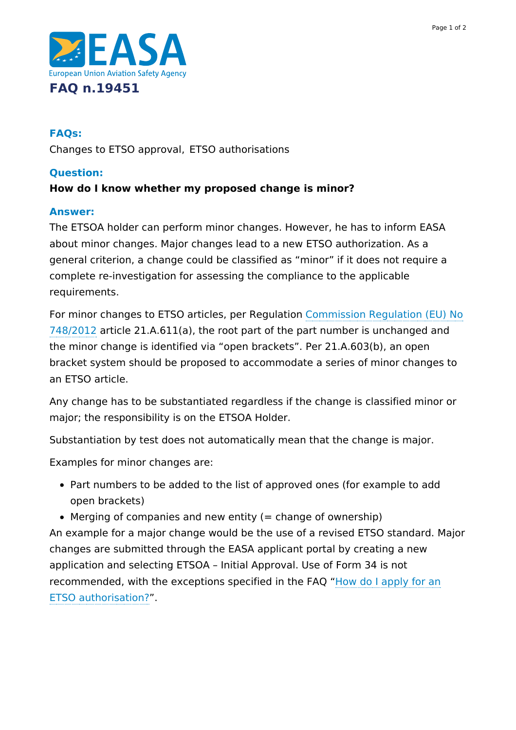

# **FAQs:**

Changes to ETSO approval, ETSO authorisations

## **Question:**

## **How do I know whether my proposed change is minor?**

#### **Answer:**

The ETSOA holder can perform minor changes. However, he has to inform EASA about minor changes. Major changes lead to a new ETSO authorization. As a general criterion, a change could be classified as "minor" if it does not require a complete re-investigation for assessing the compliance to the applicable requirements.

For minor changes to ETSO articles, per Regulation Commission Regulation (EU) No 748/2012 article [21.A.611\(a\),](https://www.easa.europa.eu/document-library/regulations#initial-airworthiness) the root part of the part number is unchanged and the minor change is identified via "open brackets". Per 21.A.603(b), an open bracket system should be proposed to accommodate a series of minor changes to an ETSO article.

Any change has to be substantiated regardless if the change is classified minor or major; the responsibility is on the ETSOA Holder.

Substantiation by test does not automatically mean that the change is major.

Examples for minor changes are:

- Part numbers to be added to the list of approved ones (for example to add open brackets)
- $\bullet$  Merging of companies and new entity (= change of ownership)

An example for a major change would be the use of a revised ETSO standard. Major changes are submitted through the EASA applicant portal by creating a new application and selecting ETSOA – Initial Approval. Use of Form 34 is not recommended, with the exceptions specified in the FAQ "How do I apply for an ETSO [authorisation?".](https://www.easa.europa.eu/faq/19444)